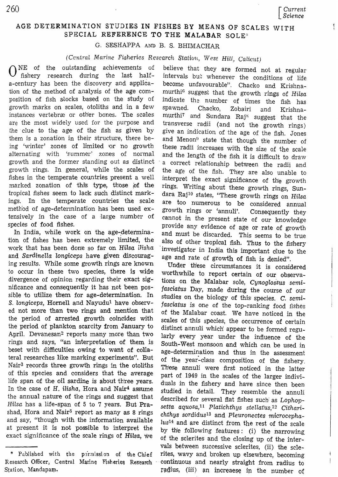## AGE DETERMINATION STUDIES IN FISHES BY MEANS OF SCALES WITH SPECIAL REFERENCE TO THE MALABAR SOLE<sup>®</sup>

G. SESHAPPA AND B. S. BHIMACHAR

(Central Marine Fisheries Research Station, West Hill, Calicut)

 $\bigcap_{n=1}^{\infty}$  of the outstanding achievements of fishery research during the last halfa-century has been the discovery and application of the method of analysis of the age composition of fish stocks based on the study of growth marks on scales, otoliths and in a few instances vertebræ or other bones. The scales are the most widely used for the purpose and the clue to the age of the fish as given by them is a zonation in their structure, there being 'winter' zones of limited or no growth alternating with 'summer' zones of normal growth and the former standing out as distinct growth rings. In general, while the scales of fishes in the temperate countries present a well marked zonation of this type, those of the tropical fishes seem to lack such distinct markings. In the temperate countries the scale method of age-determination has been used extensively in the case of a large number of species of food fishes.

In India, while work on the age-determination of fishes has been extremely limited, the work that has been done so far on Hilsa ilisha and Sardinella longiceps have given discouraging results. While some growth rings are known to occur in these two species, there is wide divergence of opinion regarding their exact significance and consequently it has not been possible to utilize them for age-determination. In S. longiceps, Hornell and Nayudu<sup>1</sup> have observed not more than two rings and mention that the period of arrested growth coincides with the period of plankton scarcity from January to April. Devanesan<sup>2</sup> reports many more than two rings and says, "an interpretation of them is beset with difficulties owing to want of collateral researches like marking experiments". But Nair<sup>3</sup> records three growth rings in the otoliths of this species and considers that the average life span of the oil sardine is about three years. In the case of H. ilisha, Hora and Nair<sup>4</sup> assume the annual nature of the rings and suggest that Hilsa has a life-span of 5 to 7 years. But Prashad, Hora and Nair<sup>5</sup> report as many as 8 rings and say, "though with the information available at present it is not possible to interpret the exact significance of the scale rings of Hilsa, we

believe that they are formed not at regular intervals but whenever the conditions of life become unfavourable". Chacko and Krishnamurthi<sup>6</sup> suggest that the growth rings of Hilsa indicate the number of times the fish has spawned. Chacko, Zobairi and Krishnamurthi<sup>7</sup> and Sundara Raj<sup>8</sup> suggest that the transverse radii (and not the growth rings) give an indication of the age of the fish. Jones and Menon<sup>9</sup> state that though the number of these radii increases with the size of the scale and the length of the fish it is difficult to draw a correct relationship between the radii and the age of the fish. They are also unable to interpret the exact significance of the growth rings. Writing about these growth rings, Sundara Raj<sup>10</sup> states, "These growth rings on Hilsa are too numerous to be considered annual growth rings or 'annuli'. Consequently they cannot in the present state of our knowledge provide any evidence of age or rate of growth and must be discarded. This seems to be true also of other tropical fish. Thus to the fishery investigator in India this important clue to the age and rate of growth of fish is denied".

Under these circumstances it is considered worthwhile to report certain of our observations on the Malabar sole, Cynoglossus semifasciatus Day, made during the course of our studies on the biology of this species. C. semifasciatus is one of the top-ranking food fishes of the Malabar coast. We have noticed in the scales of this species, the occurrence of certain distinct annuli which appear to be formed regularly every year under the influence of the South-West monsoon and which can be used in age-determination and thus in the assessment of the year-class composition of the fishery. These annuli were first noticed in the latter part of 1949 in the scales of the larger individuals in the fishery and have since then been studied in detail. They resemble the annuli described for several flat fishes such as Lophopsetta aquosa,<sup>11</sup> Platichthys stellatus,<sup>12</sup> Citharichthys sordidus<sup>13</sup> and Pleuronectes microcephalus<sup>14</sup> and are distinct from the rest of the scale by the following features: (i) the narrowing of the sclerites and the closing up of the intervals between successive sclerites, (ii) the sclerites, wavy and broken up elsewhere, becoming continuous and nearly straight from radius to radius, (iii) an increaese in the number of

<sup>\*</sup> Published with the permission of the Chief Research Officer, Central Marine Fisheries Research Station, Mandapam.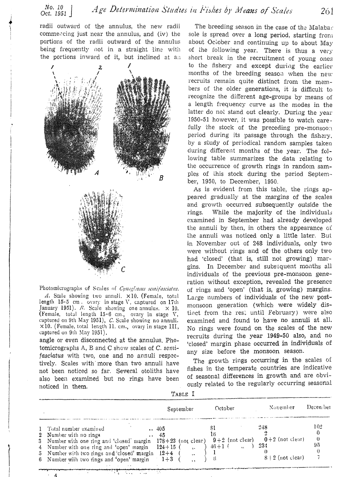radii outward of the annulus, the new radii commending just near the annulus, and (iv) the portions of the radii outward of the annulus being frequently not in a straight line with the portions inward of it, but inclined at an



Photomicrographs of Scales of *Cynoglossus semifasciatus*. A. Scale showing two annuli.  $\times 10$ . (Female, total length 15·5 cnl. ovary in stage \1', captured on 17th January 1951). *R.* Seale showing one annulus. X 10. (Female, total length  $15.6$  cm., ovary in stage V, captured on 9th May 1951),  $C$ . Scale showing no annuli.  $\times$ 10. (Female, total length II. cm., ovary in stage III, captured on 9th May 1951).

angle or even disconnected at the annulus. Photomicrographs A, B and C show scales of C. semifasciatus with two, one and no annuli respectively. Scales with more than two annuli have not been noticed so far. Several otoliths have also been examined but no rings have been noticed in them.

 $\sum_{i=1}^{n}$ 

. 4

The breeding season in the case of the Malaba $\cdot$ sole is spread over a long period, starting from about October and continuing up to about May of the following year. There is thus a very short break in the recruitment of young ones to the fishery and except during the earlier months of the breeding season when the new recruits remain quite distinct from the members of the older generations, it is difficult to recognize the different age-groups by means of a length frequency curve as the modes in the latter do not stand out clearly. During the year 1950-51 however, it was possible to watch carefully the stock of the preceding pre-monsoon period during its passage through the fishery, by a study of periodical random samples taken during different months of the year. The following table summarizes the data relating to the occurrence of growth rings in random samples of this stock during the period September, 1950, to December, 1950.

As is evident from this table, the rings appeared gradually at the margins of the scales and growth occurred subsequently outside the rings. While the majority of the individuals examined in September had already developed the annuli by then, in others the appearance of the annuli was noticed only a little later. But in November out of 248 individuals, only two were without rings and of the others only two had 'closed' (that is, still not growing) margins. In December and subsequent months all individuals of the previous pre-monsoon generation without exception, revealed the presence of rings and 'open' (that is, growing) margins. Large numbers of individuals of the new postmonsoon generation (which were widely distinct from the rest until February) were also examined and found to have no annuli at all. No rings were found on the scales of the new recruits during the year 1949-50 also, and no 'closed' margin phase occurred in individuals of any size before the monsoon season.

The growth rings occurring in the scales of fishes in the temperate countries are indicative of seasonal differences in growth and are obviously related to the regularly occurring seasonal

| TABLE |  |
|-------|--|
|-------|--|

|                                                                                                                                                                                                                                                                       | September                                                                | October                             | November                                                | Decen bet |
|-----------------------------------------------------------------------------------------------------------------------------------------------------------------------------------------------------------------------------------------------------------------------|--------------------------------------------------------------------------|-------------------------------------|---------------------------------------------------------|-----------|
| 1 Total number examined<br>2 Number with no rings<br>3 Number with one ring and 'closed' margin $178 + 23$ (not clear)<br>4 Number with one ring and 'open' margin<br>5 Number with two rings and 'closed' margin $12+4$<br>6 Number with two rings and 'open' margin | $\ldots$ 405<br>$\cdots$ 45<br>$124+15$<br>$\ddot{\phantom{a}}$<br>$1+3$ | 16<br>$9+2$ (not clear)<br>$+6+1$ ( | 248<br>$0+2$ (not clear)<br>-234<br>$S + 2$ (not clear) | 102<br>95 |